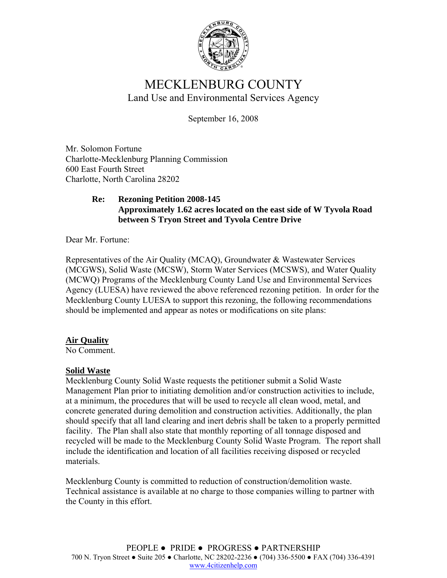

# MECKLENBURG COUNTY Land Use and Environmental Services Agency

September 16, 2008

Mr. Solomon Fortune Charlotte-Mecklenburg Planning Commission 600 East Fourth Street Charlotte, North Carolina 28202

#### **Re: Rezoning Petition 2008-145 Approximately 1.62 acres located on the east side of W Tyvola Road between S Tryon Street and Tyvola Centre Drive**

Dear Mr. Fortune:

Representatives of the Air Quality (MCAQ), Groundwater & Wastewater Services (MCGWS), Solid Waste (MCSW), Storm Water Services (MCSWS), and Water Quality (MCWQ) Programs of the Mecklenburg County Land Use and Environmental Services Agency (LUESA) have reviewed the above referenced rezoning petition. In order for the Mecklenburg County LUESA to support this rezoning, the following recommendations should be implemented and appear as notes or modifications on site plans:

## **Air Quality**

No Comment.

## **Solid Waste**

Mecklenburg County Solid Waste requests the petitioner submit a Solid Waste Management Plan prior to initiating demolition and/or construction activities to include, at a minimum, the procedures that will be used to recycle all clean wood, metal, and concrete generated during demolition and construction activities. Additionally, the plan should specify that all land clearing and inert debris shall be taken to a properly permitted facility. The Plan shall also state that monthly reporting of all tonnage disposed and recycled will be made to the Mecklenburg County Solid Waste Program. The report shall include the identification and location of all facilities receiving disposed or recycled materials.

Mecklenburg County is committed to reduction of construction/demolition waste. Technical assistance is available at no charge to those companies willing to partner with the County in this effort.